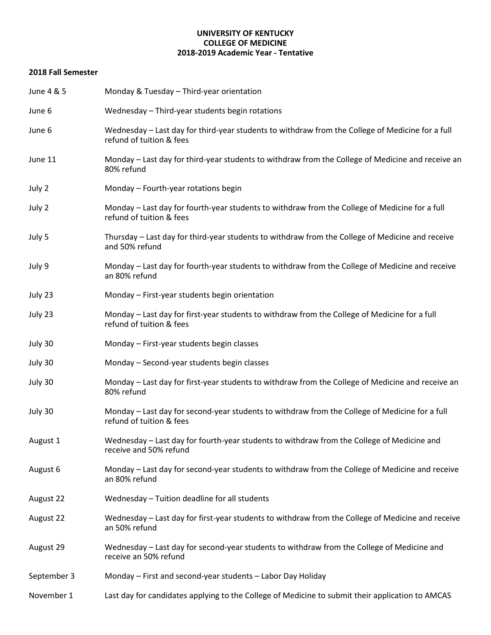## **UNIVERSITY OF KENTUCKY COLLEGE OF MEDICINE 2018-2019 Academic Year - Tentative**

## **2018 Fall Semester**

| June 4 & 5  | Monday & Tuesday - Third-year orientation                                                                                    |  |  |
|-------------|------------------------------------------------------------------------------------------------------------------------------|--|--|
| June 6      | Wednesday - Third-year students begin rotations                                                                              |  |  |
| June 6      | Wednesday - Last day for third-year students to withdraw from the College of Medicine for a full<br>refund of tuition & fees |  |  |
| June 11     | Monday - Last day for third-year students to withdraw from the College of Medicine and receive an<br>80% refund              |  |  |
| July 2      | Monday - Fourth-year rotations begin                                                                                         |  |  |
| July 2      | Monday - Last day for fourth-year students to withdraw from the College of Medicine for a full<br>refund of tuition & fees   |  |  |
| July 5      | Thursday - Last day for third-year students to withdraw from the College of Medicine and receive<br>and 50% refund           |  |  |
| July 9      | Monday - Last day for fourth-year students to withdraw from the College of Medicine and receive<br>an 80% refund             |  |  |
| July 23     | Monday - First-year students begin orientation                                                                               |  |  |
| July 23     | Monday - Last day for first-year students to withdraw from the College of Medicine for a full<br>refund of tuition & fees    |  |  |
| July 30     | Monday - First-year students begin classes                                                                                   |  |  |
| July 30     | Monday - Second-year students begin classes                                                                                  |  |  |
| July 30     | Monday - Last day for first-year students to withdraw from the College of Medicine and receive an<br>80% refund              |  |  |
| July 30     | Monday - Last day for second-year students to withdraw from the College of Medicine for a full<br>refund of tuition & fees   |  |  |
| August 1    | Wednesday - Last day for fourth-year students to withdraw from the College of Medicine and<br>receive and 50% refund         |  |  |
| August 6    | Monday – Last day for second-year students to withdraw from the College of Medicine and receive<br>an 80% refund             |  |  |
| August 22   | Wednesday - Tuition deadline for all students                                                                                |  |  |
| August 22   | Wednesday - Last day for first-year students to withdraw from the College of Medicine and receive<br>an 50% refund           |  |  |
| August 29   | Wednesday – Last day for second-year students to withdraw from the College of Medicine and<br>receive an 50% refund          |  |  |
| September 3 | Monday - First and second-year students - Labor Day Holiday                                                                  |  |  |
| November 1  | Last day for candidates applying to the College of Medicine to submit their application to AMCAS                             |  |  |